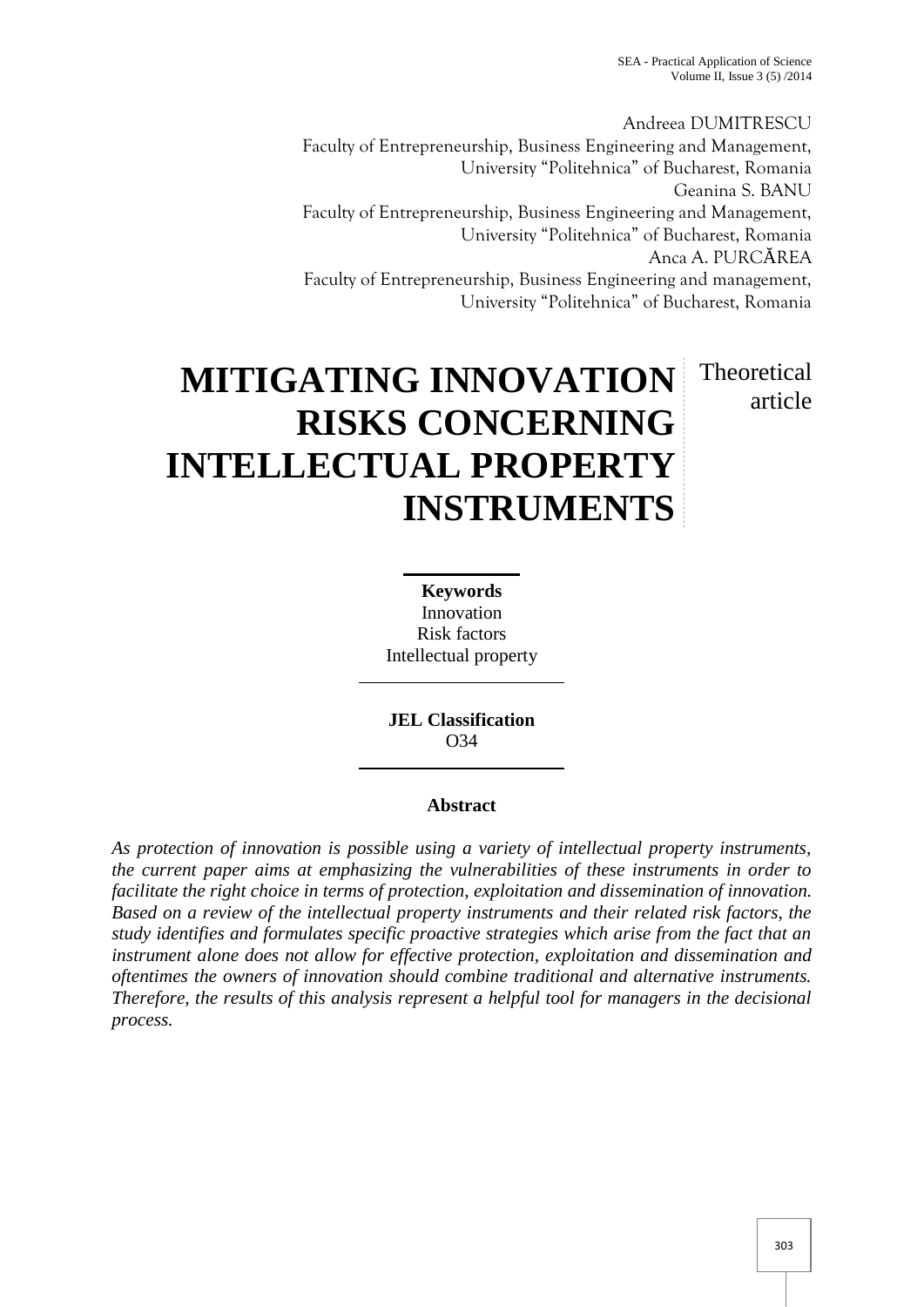Andreea DUMITRESCU Faculty of Entrepreneurship, Business Engineering and Management, University "Politehnica" of Bucharest, Romania Geanina S. BANU Faculty of Entrepreneurship, Business Engineering and Management, University "Politehnica" of Bucharest, Romania Anca A. PURC REA Faculty of Entrepreneurship, Business Engineering and management, University "Politehnica" of Bucharest, Romania

# **MITIGATING INNOVATION RISKS CONCERNING INTELLECTUAL PROPERTY INSTRUMENTS** Theoretical article

**Keywords** Innovation Risk factors Intellectual property

**JEL Classification** O34

## **Abstract**

*As protection of innovation is possible using a variety of intellectual property instruments, the current paper aims at emphasizing the vulnerabilities of these instruments in order to facilitate the right choice in terms of protection, exploitation and dissemination of innovation. Based on a review of the intellectual property instruments and their related risk factors, the study identifies and formulates specific proactive strategies which arise from the fact that an instrument alone does not allow for effective protection, exploitation and dissemination and oftentimes the owners of innovation should combine traditional and alternative instruments. Therefore, the results of this analysis represent a helpful tool for managers in the decisional process.*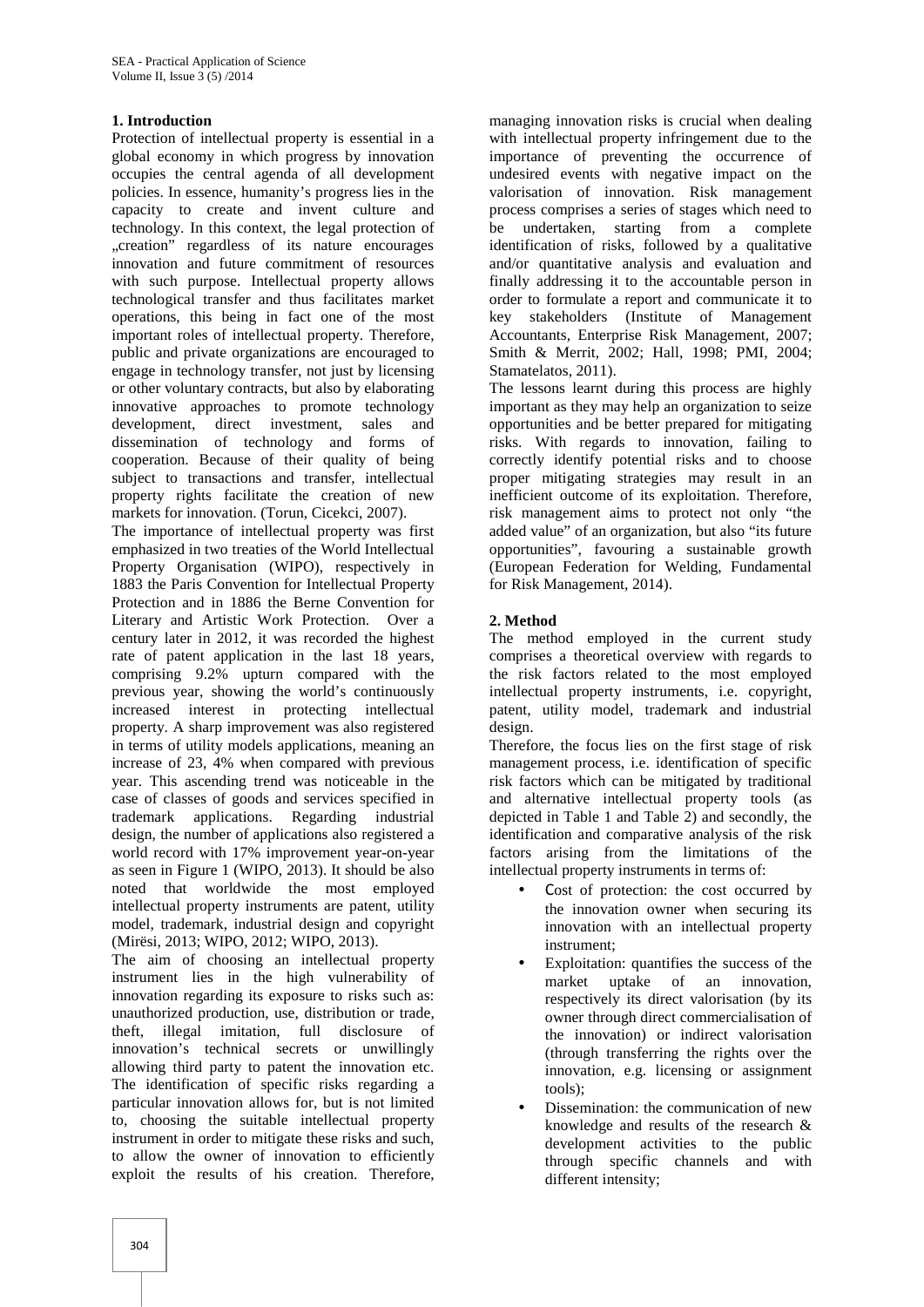## **1. Introduction**

Protection of intellectual property is essential in a global economy in which progress by innovation occupies the central agenda of all development policies. In essence, humanity's progress lies in the capacity to create and invent culture and technology. In this context, the legal protection of "creation" regardless of its nature encourages innovation and future commitment of resources with such purpose. Intellectual property allows technological transfer and thus facilitates market operations, this being in fact one of the most important roles of intellectual property. Therefore, public and private organizations are encouraged to engage in technology transfer, not just by licensing or other voluntary contracts, but also by elaborating innovative approaches to promote technology development, direct investment, sales and dissemination of technology and forms of cooperation. Because of their quality of being subject to transactions and transfer, intellectual property rights facilitate the creation of new markets for innovation. (Torun, Cicekci, 2007).

The importance of intellectual property was first emphasized in two treaties of the World Intellectual Property Organisation (WIPO), respectively in 1883 the Paris Convention for Intellectual Property Protection and in 1886 the Berne Convention for Literary and Artistic Work Protection. Over a century later in 2012, it was recorded the highest rate of patent application in the last 18 years, comprising 9.2% upturn compared with the previous year, showing the world's continuously increased interest in protecting intellectual property. A sharp improvement was also registered in terms of utility models applications, meaning an increase of 23, 4% when compared with previous year. This ascending trend was noticeable in the case of classes of goods and services specified in trademark applications. Regarding industrial design, the number of applications also registered a world record with 17% improvement year-on-year as seen in Figure 1 (WIPO, 2013). It should be also noted that worldwide the most employed intellectual property instruments are patent, utility model, trademark, industrial design and copyright (Mirësi, 2013; WIPO, 2012; WIPO, 2013).

The aim of choosing an intellectual property instrument lies in the high vulnerability of innovation regarding its exposure to risks such as: unauthorized production, use, distribution or trade, theft, illegal imitation, full disclosure of innovation's technical secrets or unwillingly allowing third party to patent the innovation etc. The identification of specific risks regarding a particular innovation allows for, but is not limited to, choosing the suitable intellectual property instrument in order to mitigate these risks and such, to allow the owner of innovation to efficiently exploit the results of his creation. Therefore,

managing innovation risks is crucial when dealing with intellectual property infringement due to the importance of preventing the occurrence of undesired events with negative impact on the valorisation of innovation. Risk management process comprises a series of stages which need to be undertaken, starting from a complete identification of risks, followed by a qualitative and/or quantitative analysis and evaluation and finally addressing it to the accountable person in order to formulate a report and communicate it to key stakeholders (Institute of Management Accountants, Enterprise Risk Management, 2007; Smith & Merrit, 2002; Hall, 1998; PMI, 2004; Stamatelatos, 2011).

The lessons learnt during this process are highly important as they may help an organization to seize opportunities and be better prepared for mitigating risks. With regards to innovation, failing to correctly identify potential risks and to choose proper mitigating strategies may result in an inefficient outcome of its exploitation. Therefore, risk management aims to protect not only "the added value" of an organization, but also "its future opportunities", favouring a sustainable growth (European Federation for Welding, Fundamental for Risk Management, 2014).

## **2. Method**

The method employed in the current study comprises a theoretical overview with regards to the risk factors related to the most employed intellectual property instruments, i.e. copyright, patent, utility model, trademark and industrial design.

Therefore, the focus lies on the first stage of risk management process, i.e. identification of specific risk factors which can be mitigated by traditional and alternative intellectual property tools (as depicted in Table 1 and Table 2) and secondly, the identification and comparative analysis of the risk factors arising from the limitations of the intellectual property instruments in terms of:

- Cost of protection: the cost occurred by the innovation owner when securing its innovation with an intellectual property instrument;
- Exploitation: quantifies the success of the market uptake of an innovation, respectively its direct valorisation (by its owner through direct commercialisation of the innovation) or indirect valorisation (through transferring the rights over the innovation, e.g. licensing or assignment tools);
- Dissemination: the communication of new knowledge and results of the research & development activities to the public through specific channels and with different intensity;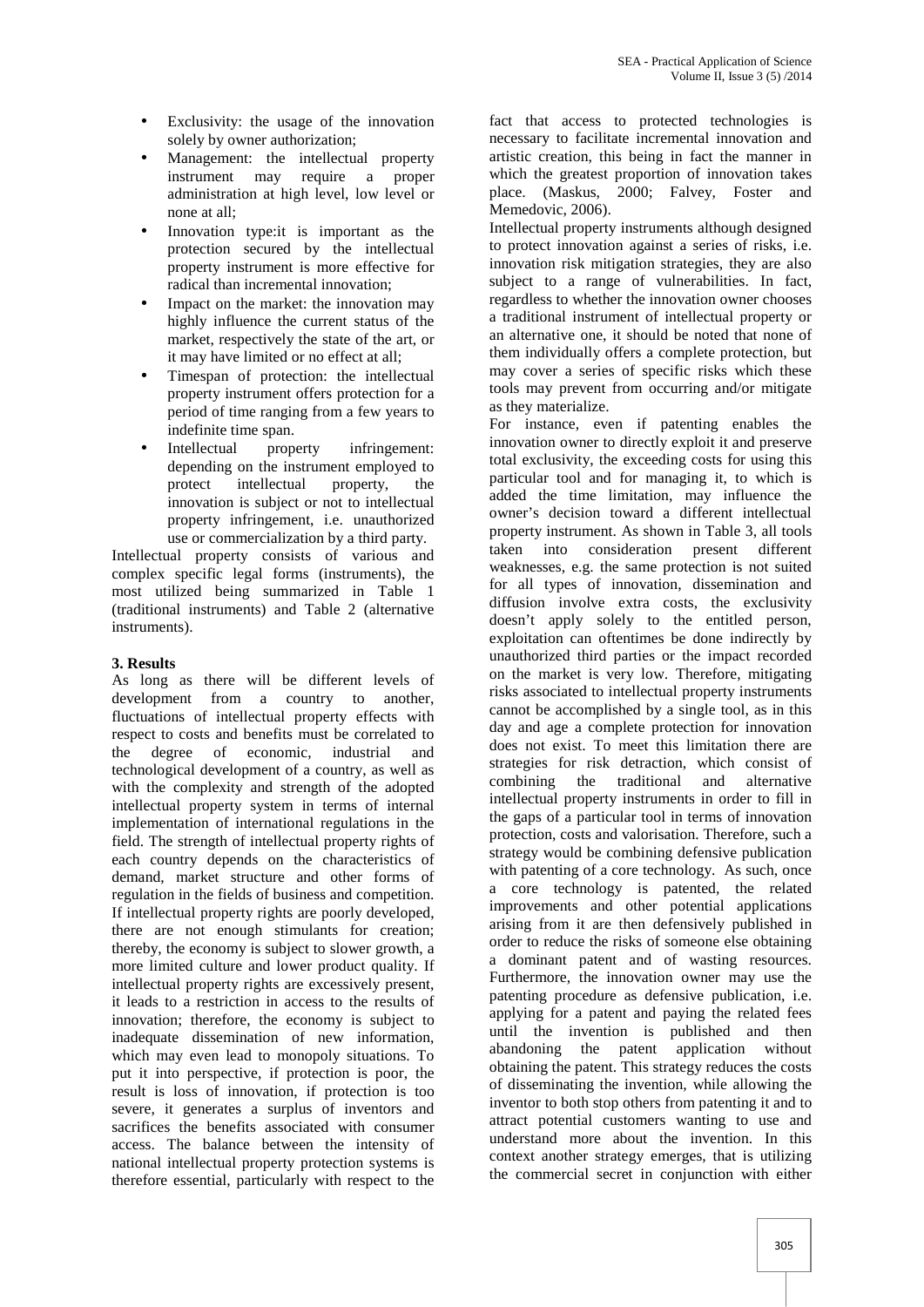- Exclusivity: the usage of the innovation solely by owner authorization;
- Management: the intellectual property instrument may require a proper administration at high level, low level or none at all;
- Innovation type:it is important as the protection secured by the intellectual property instrument is more effective for radical than incremental innovation;
- Impact on the market: the innovation may highly influence the current status of the market, respectively the state of the art, or it may have limited or no effect at all;
- Timespan of protection: the intellectual property instrument offers protection for a period of time ranging from a few years to indefinite time span.
- Intellectual property infringement: depending on the instrument employed to protect intellectual property, the innovation is subject or not to intellectual property infringement, i.e. unauthorized use or commercialization by a third party.

Intellectual property consists of various and taken into complex specific legal forms (instruments), the most utilized being summarized in Table 1 (traditional instruments) and Table 2 (alternative instruments).

## **3. Results**

As long as there will be different levels of development from a country to another, fluctuations of intellectual property effects with respect to costs and benefits must be correlated to the degree of economic, industrial and technological development of a country, as well as with the complexity and strength of the adopted intellectual property system in terms of internal implementation of international regulations in the field. The strength of intellectual property rights of each country depends on the characteristics of demand, market structure and other forms of regulation in the fields of business and competition. If intellectual property rights are poorly developed, there are not enough stimulants for creation; thereby, the economy is subject to slower growth, a more limited culture and lower product quality. If intellectual property rights are excessively present, it leads to a restriction in access to the results of innovation; therefore, the economy is subject to inadequate dissemination of new information, which may even lead to monopoly situations. To put it into perspective, if protection is poor, the result is loss of innovation, if protection is too severe, it generates a surplus of inventors and sacrifices the benefits associated with consumer access. The balance between the intensity of national intellectual property protection systems is therefore essential, particularly with respect to the

fact that access to protected technologies is necessary to facilitate incremental innovation and artistic creation, this being in fact the manner in which the greatest proportion of innovation takes place. (Maskus, 2000; Falvey, Foster and Memedovic, 2006).

Intellectual property instruments although designed to protect innovation against a series of risks, i.e. innovation risk mitigation strategies, they are also subject to a range of vulnerabilities. In fact, regardless to whether the innovation owner chooses a traditional instrument of intellectual property or an alternative one, it should be noted that none of them individually offers a complete protection, but may cover a series of specific risks which these tools may prevent from occurring and/or mitigate as they materialize.

For instance, even if patenting enables the innovation owner to directly exploit it and preserve total exclusivity, the exceeding costs for using this particular tool and for managing it, to which is added the time limitation, may influence the owner's decision toward a different intellectual property instrument. As shown in Table 3, all tools consideration present different weaknesses, e.g. the same protection is not suited for all types of innovation, dissemination and diffusion involve extra costs, the exclusivity doesn't apply solely to the entitled person, exploitation can oftentimes be done indirectly by unauthorized third parties or the impact recorded on the market is very low. Therefore, mitigating risks associated to intellectual property instruments cannot be accomplished by a single tool, as in this day and age a complete protection for innovation does not exist. To meet this limitation there are strategies for risk detraction, which consist of combining the traditional and alternative intellectual property instruments in order to fill in the gaps of a particular tool in terms of innovation protection, costs and valorisation. Therefore, such a strategy would be combining defensive publication with patenting of a core technology. As such, once a core technology is patented, the related improvements and other potential applications arising from it are then defensively published in order to reduce the risks of someone else obtaining a dominant patent and of wasting resources. Furthermore, the innovation owner may use the patenting procedure as defensive publication, i.e. applying for a patent and paying the related fees until the invention is published and then abandoning the patent application without obtaining the patent. This strategy reduces the costs of disseminating the invention, while allowing the inventor to both stop others from patenting it and to attract potential customers wanting to use and understand more about the invention. In this context another strategy emerges, that is utilizing the commercial secret in conjunction with either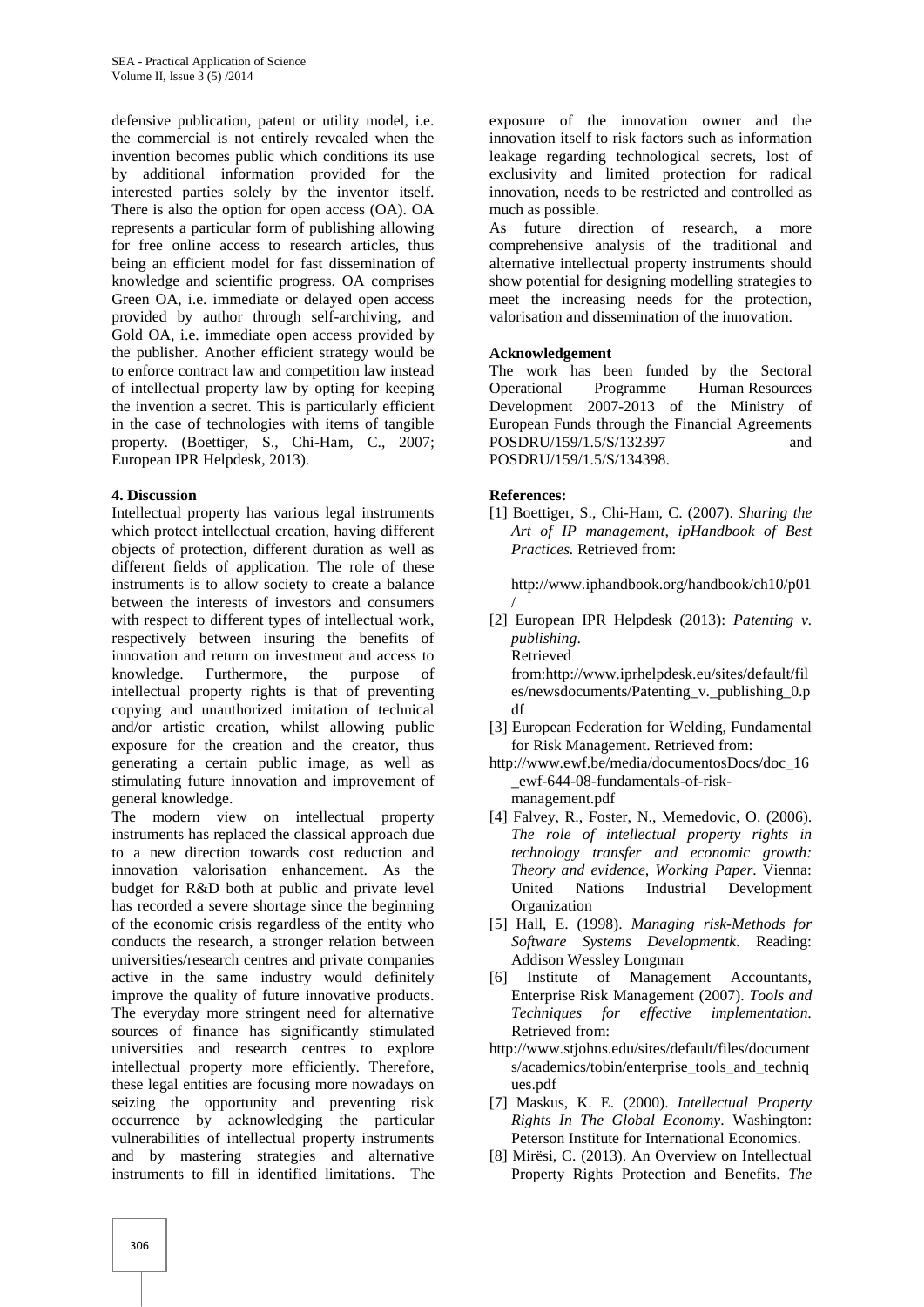defensive publication, patent or utility model, i.e. the commercial is not entirely revealed when the invention becomes public which conditions its use by additional information provided for the interested parties solely by the inventor itself. There is also the option for open access (OA). OA represents a particular form of publishing allowing for free online access to research articles, thus being an efficient model for fast dissemination of knowledge and scientific progress. OA comprises Green OA, i.e. immediate or delayed open access provided by author through self-archiving, and Gold OA, i.e. immediate open access provided by the publisher. Another efficient strategy would be to enforce contract law and competition law instead of intellectual property law by opting for keeping the invention a secret. This is particularly efficient in the case of technologies with items of tangible property. (Boettiger, S., Chi-Ham, C., 2007; European IPR Helpdesk, 2013).

### **4. Discussion**

Intellectual property has various legal instruments which protect intellectual creation, having different objects of protection, different duration as well as different fields of application. The role of these instruments is to allow society to create a balance between the interests of investors and consumers with respect to different types of intellectual work, respectively between insuring the benefits of innovation and return on investment and access to knowledge. Furthermore, the purpose of intellectual property rights is that of preventing copying and unauthorized imitation of technical and/or artistic creation, whilst allowing public exposure for the creation and the creator, thus generating a certain public image, as well as stimulating future innovation and improvement of general knowledge.

The modern view on intellectual property instruments has replaced the classical approach due to a new direction towards cost reduction and innovation valorisation enhancement. As the budget for R&D both at public and private level has recorded a severe shortage since the beginning of the economic crisis regardless of the entity who conducts the research, a stronger relation between universities/research centres and private companies active in the same industry would definitely improve the quality of future innovative products. The everyday more stringent need for alternative sources of finance has significantly stimulated universities and research centres to explore intellectual property more efficiently. Therefore, these legal entities are focusing more nowadays on seizing the opportunity and preventing risk occurrence by acknowledging the particular vulnerabilities of intellectual property instruments and by mastering strategies and alternative instruments to fill in identified limitations. The

exposure of the innovation owner and the innovation itself to risk factors such as information leakage regarding technological secrets, lost of exclusivity and limited protection for radical innovation, needs to be restricted and controlled as much as possible.

As future direction of research, a more comprehensive analysis of the traditional and alternative intellectual property instruments should show potential for designing modelling strategies to meet the increasing needs for the protection, valorisation and dissemination of the innovation.

## **Acknowledgement**

The work has been funded by the Sectoral Programme Human Resources Development 2007-2013 of the Ministry of European Funds through the Financial Agreements POSDRU/159/1.5/S/132397 and POSDRU/159/1.5/S/134398.

## **References:**

[1] Boettiger, S., Chi-Ham, C. (2007). *Sharing the Art of IP management, ipHandbook of Best Practices.* Retrieved from:

http://www.iphandbook.org/handbook/ch10/p01

- / [2] European IPR Helpdesk (2013): *Patenting v. publishing*.
	- Retrieved

from:http://www.iprhelpdesk.eu/sites/default/fil es/newsdocuments/Patenting v. publishing 0.p df

- [3] European Federation for Welding, Fundamental for Risk Management. Retrieved from:
- http://www.ewf.be/media/documentosDocs/doc\_16 \_ewf-644-08-fundamentals-of-risk management.pdf
- [4] Falvey, R., Foster, N., Memedovic, O. (2006). *The role of intellectual property rights in technology transfer and economic growth: Theory and evidence, Working Paper*. Vienna: United Nations Industrial Development Organization
- [5] Hall, E. (1998). *Managing risk-Methods for Software Systems Developmentk*. Reading: Addison Wessley Longman
- Institute of Management Accountants, Enterprise Risk Management (2007). *Tools and Techniques for effective implementation.* Retrieved from:
- http://www.stjohns.edu/sites/default/files/document s/academics/tobin/enterprise\_tools\_and\_techniq ues.pdf
- [7] Maskus, K. E. (2000). *Intellectual Property Rights In The Global Economy*. Washington: Peterson Institute for International Economics.
- [8] Mirësi, C. (2013). An Overview on Intellectual Property Rights Protection and Benefits. *The*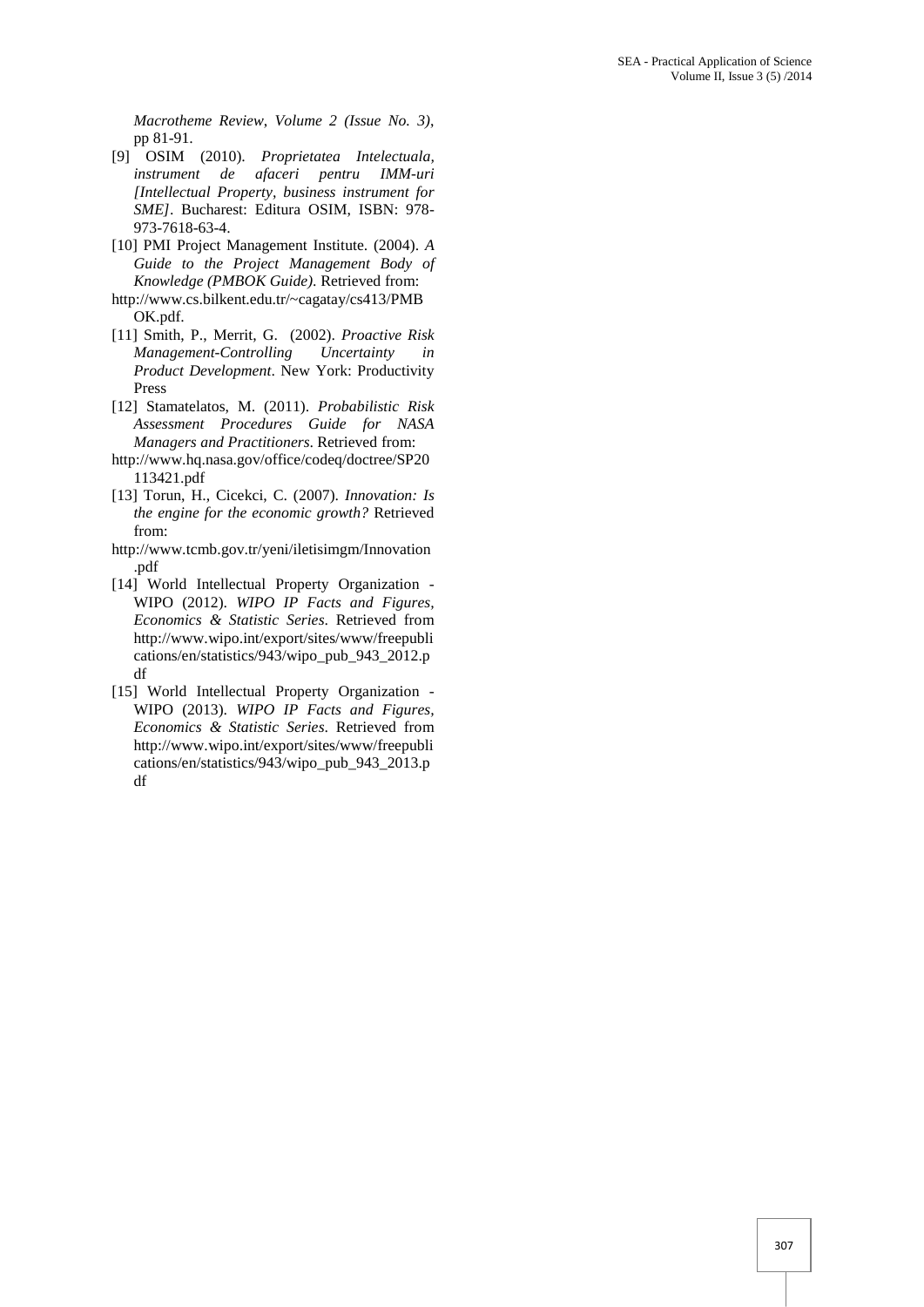*Macrotheme Review*, *Volume 2 (Issue No. 3)*, pp 81-91.

- [9] OSIM (2010). *Proprietatea Intelectuala, instrument de afaceri pentru IMM-uri [Intellectual Property, business instrument for SME]*. Bucharest: Editura OSIM, ISBN: 978- 973-7618-63-4.
- [10] PMI Project Management Institute. (2004). *A Guide to the Project Management Body of Knowledge (PMBOK Guide)*. Retrieved from:
- http://www.cs.bilkent.edu.tr/~cagatay/cs413/PMB OK.pdf.
- [11] Smith, P., Merrit, G. (2002). *Proactive Risk Management-Controlling Uncertainty in Product Development*. New York: Productivity Press
- [12] Stamatelatos, M. (2011). *Probabilistic Risk Assessment Procedures Guide for NASA Managers and Practitioners*. Retrieved from:
- http://www.hq.nasa.gov/office/codeq/doctree/SP20 113421.pdf
- [13] Torun, H., Cicekci, C. (2007). *Innovation: Is the engine for the economic growth?* Retrieved from:
- http://www.tcmb.gov.tr/yeni/iletisimgm/Innovation .pdf
- [14] World Intellectual Property Organization WIPO (2012). *WIPO IP Facts and Figures, Economics & Statistic Series*. Retrieved from http://www.wipo.int/export/sites/www/freepubli cations/en/statistics/943/wipo\_pub\_943\_2012.p df
- [15] World Intellectual Property Organization WIPO (2013). *WIPO IP Facts and Figures, Economics & Statistic Series*. Retrieved from http://www.wipo.int/export/sites/www/freepubli cations/en/statistics/943/wipo\_pub\_943\_2013.p df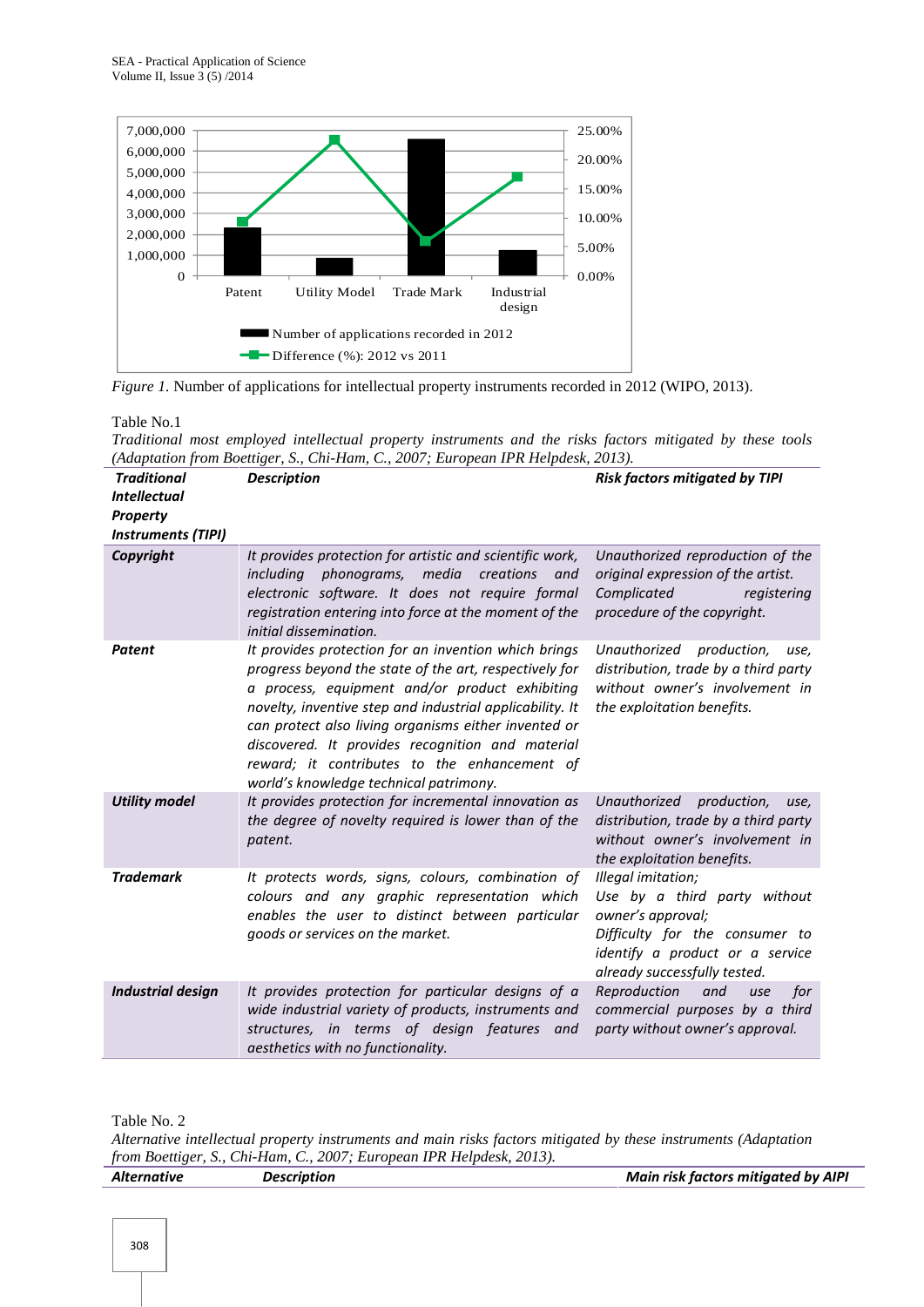



Table No.1

*Traditional most employed intellectual property instruments and the risks factors mitigated by these tools (Adaptation from Boettiger, S., Chi-Ham, C., 2007; European IPR Helpdesk, 2013).*

| <b>Traditional</b><br><b>Intellectual</b><br><b>Property</b><br><b>Instruments (TIPI)</b> | <b>Description</b>                                                                                                                                                                                                                                                                                                                                                                                                                 | <b>Risk factors mitigated by TIPI</b>                                                                                                                                        |
|-------------------------------------------------------------------------------------------|------------------------------------------------------------------------------------------------------------------------------------------------------------------------------------------------------------------------------------------------------------------------------------------------------------------------------------------------------------------------------------------------------------------------------------|------------------------------------------------------------------------------------------------------------------------------------------------------------------------------|
| Copyright                                                                                 | It provides protection for artistic and scientific work,<br>including phonograms, media<br>creations and<br>electronic software. It does not require formal<br>registration entering into force at the moment of the<br>initial dissemination.                                                                                                                                                                                     | Unauthorized reproduction of the<br>original expression of the artist.<br>Complicated<br>registering<br>procedure of the copyright.                                          |
| <b>Patent</b>                                                                             | It provides protection for an invention which brings<br>progress beyond the state of the art, respectively for<br>a process, equipment and/or product exhibiting<br>novelty, inventive step and industrial applicability. It<br>can protect also living organisms either invented or<br>discovered. It provides recognition and material<br>reward; it contributes to the enhancement of<br>world's knowledge technical patrimony. | Unauthorized production,<br>use,<br>distribution, trade by a third party<br>without owner's involvement in<br>the exploitation benefits.                                     |
| <b>Utility model</b>                                                                      | It provides protection for incremental innovation as<br>the degree of novelty required is lower than of the<br>patent.                                                                                                                                                                                                                                                                                                             | Unauthorized<br>production,<br>use,<br>distribution, trade by a third party<br>without owner's involvement in<br>the exploitation benefits.                                  |
| <b>Trademark</b>                                                                          | It protects words, signs, colours, combination of<br>colours and any graphic representation which<br>enables the user to distinct between particular<br>goods or services on the market.                                                                                                                                                                                                                                           | Illegal imitation;<br>Use by a third party without<br>owner's approval;<br>Difficulty for the consumer to<br>identify a product or a service<br>already successfully tested. |
| <b>Industrial design</b>                                                                  | It provides protection for particular designs of a<br>wide industrial variety of products, instruments and<br>structures, in terms of design features and<br>aesthetics with no functionality.                                                                                                                                                                                                                                     | Reproduction<br>and<br>for<br>use<br>commercial purposes by a third<br>party without owner's approval.                                                                       |

Table No. 2

*Alternative intellectual property instruments and main risks factors mitigated by these instruments (Adaptation from Boettiger, S., Chi-Ham, C., 2007; European IPR Helpdesk, 2013).*

| Alternative | <b>Description</b> | <b>Main risk factors mitigated by AIPI</b> |
|-------------|--------------------|--------------------------------------------|
|             |                    |                                            |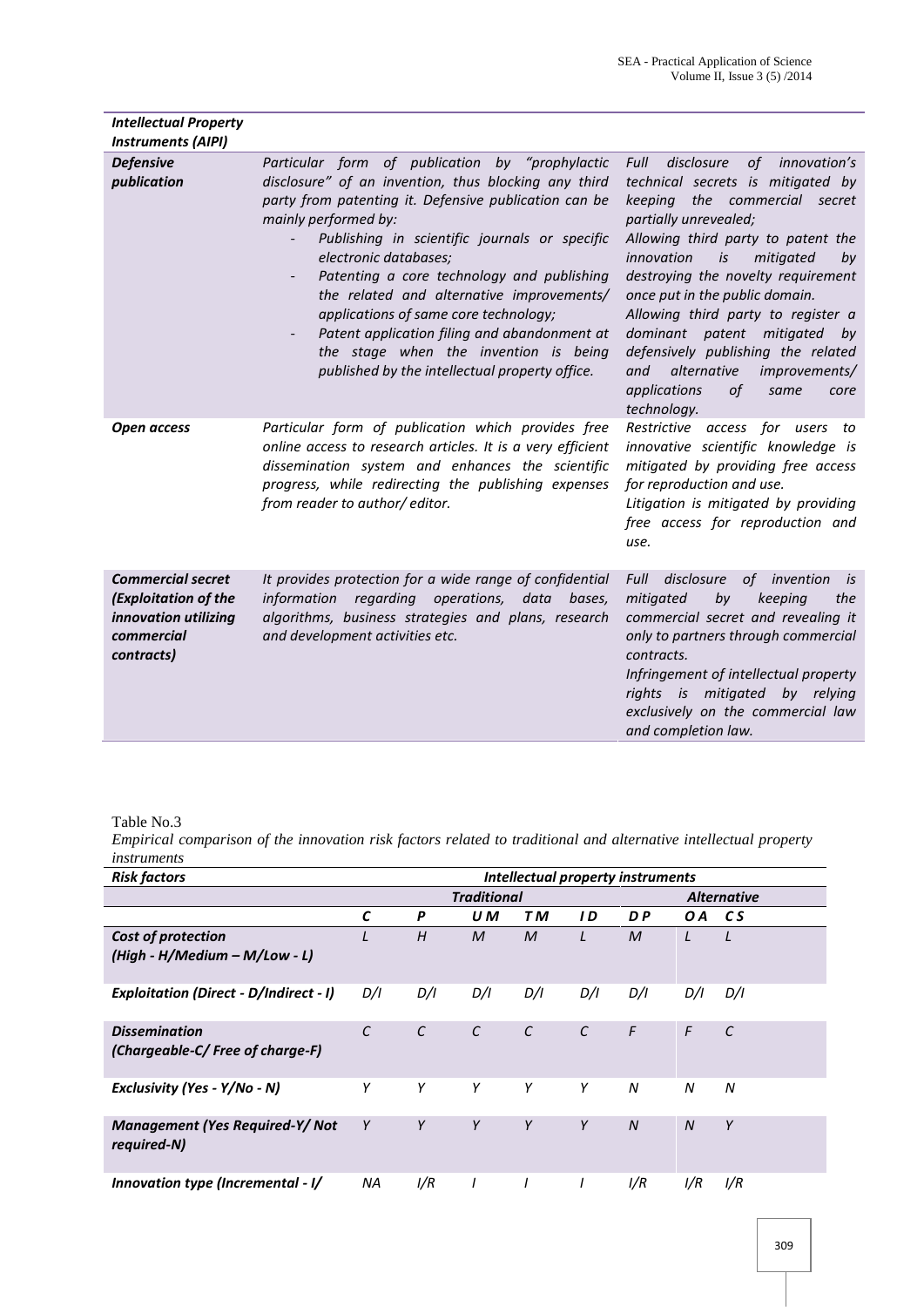| <b>Intellectual Property</b>                                                                         |                                                                                                                                                                                                                                                                                                                                                                                                                                                                                                                                                   |                                                                                                                                                                                                                                                                                                                                                                                                                                                                                                                |
|------------------------------------------------------------------------------------------------------|---------------------------------------------------------------------------------------------------------------------------------------------------------------------------------------------------------------------------------------------------------------------------------------------------------------------------------------------------------------------------------------------------------------------------------------------------------------------------------------------------------------------------------------------------|----------------------------------------------------------------------------------------------------------------------------------------------------------------------------------------------------------------------------------------------------------------------------------------------------------------------------------------------------------------------------------------------------------------------------------------------------------------------------------------------------------------|
| <b>Instruments (AIPI)</b>                                                                            |                                                                                                                                                                                                                                                                                                                                                                                                                                                                                                                                                   |                                                                                                                                                                                                                                                                                                                                                                                                                                                                                                                |
| <b>Defensive</b><br>publication                                                                      | Particular form of publication by "prophylactic<br>disclosure" of an invention, thus blocking any third<br>party from patenting it. Defensive publication can be<br>mainly performed by:<br>Publishing in scientific journals or specific<br>electronic databases;<br>Patenting a core technology and publishing<br>the related and alternative improvements/<br>applications of same core technology;<br>Patent application filing and abandonment at<br>the stage when the invention is being<br>published by the intellectual property office. | of innovation's<br>disclosure<br>Full<br>technical secrets is mitigated by<br>keeping<br>the commercial secret<br>partially unrevealed;<br>Allowing third party to patent the<br>innovation<br>mitigated<br>is<br>by<br>destroying the novelty requirement<br>once put in the public domain.<br>Allowing third party to register a<br>dominant patent mitigated<br>by<br>defensively publishing the related<br>alternative<br>and<br>improvements/<br>applications<br><i>of</i><br>same<br>core<br>technology. |
| Open access                                                                                          | Particular form of publication which provides free<br>online access to research articles. It is a very efficient<br>dissemination system and enhances the scientific<br>progress, while redirecting the publishing expenses<br>from reader to author/editor.                                                                                                                                                                                                                                                                                      | Restrictive access for users to<br>innovative scientific knowledge is<br>mitigated by providing free access<br>for reproduction and use.<br>Litigation is mitigated by providing<br>free access for reproduction and<br>use.                                                                                                                                                                                                                                                                                   |
| <b>Commercial secret</b><br>(Exploitation of the<br>innovation utilizing<br>commercial<br>contracts) | It provides protection for a wide range of confidential<br>regarding<br>operations,<br>information<br>data<br>bases,<br>algorithms, business strategies and plans, research<br>and development activities etc.                                                                                                                                                                                                                                                                                                                                    | Full<br>disclosure<br>of invention<br>is<br>by<br>mitigated<br>keeping<br>the<br>commercial secret and revealing it<br>only to partners through commercial<br>contracts.<br>Infringement of intellectual property<br>rights is mitigated by relying<br>exclusively on the commercial law<br>and completion law.                                                                                                                                                                                                |

Table No.3

*Empirical comparison of the innovation risk factors related to traditional and alternative intellectual property instruments*

| <b>Risk factors</b>                                     | Intellectual property instruments |               |               |            |                    |                |                  |               |
|---------------------------------------------------------|-----------------------------------|---------------|---------------|------------|--------------------|----------------|------------------|---------------|
|                                                         | <b>Traditional</b>                |               |               |            | <b>Alternative</b> |                |                  |               |
|                                                         | C                                 | P             | U M           | TМ         | I D                | D P            | O A              | CS.           |
| Cost of protection                                      |                                   | H             | $\mathcal M$  | M          | L                  | $\mathcal M$   |                  | L             |
| (High - H/Medium - M/Low - L)                           |                                   |               |               |            |                    |                |                  |               |
| <b>Exploitation (Direct - D/Indirect - I)</b>           | D/I                               | D/I           | D/I           | D/I        | D/I                | D/I            | D/I              | D/I           |
| <b>Dissemination</b><br>(Chargeable-C/Free of charge-F) | C                                 | $\mathcal{C}$ | $\mathcal{C}$ | $\epsilon$ | $\epsilon$         | $\mathsf{F}$   | F                | $\mathcal{C}$ |
| Exclusivity (Yes - Y/No - N)                            | Υ                                 | Y             | Y             | Y          | Y                  | N              | N                | N             |
| <b>Management (Yes Required-Y/Not</b><br>required-N)    | Y                                 | Y             | Y             | Y          | Y                  | $\overline{N}$ | $\boldsymbol{N}$ | Y             |
| Innovation type (Incremental - I/                       | <b>NA</b>                         | I/R           | I             | $\prime$   | $\prime$           | 1/R            | 1/R              | I/R           |